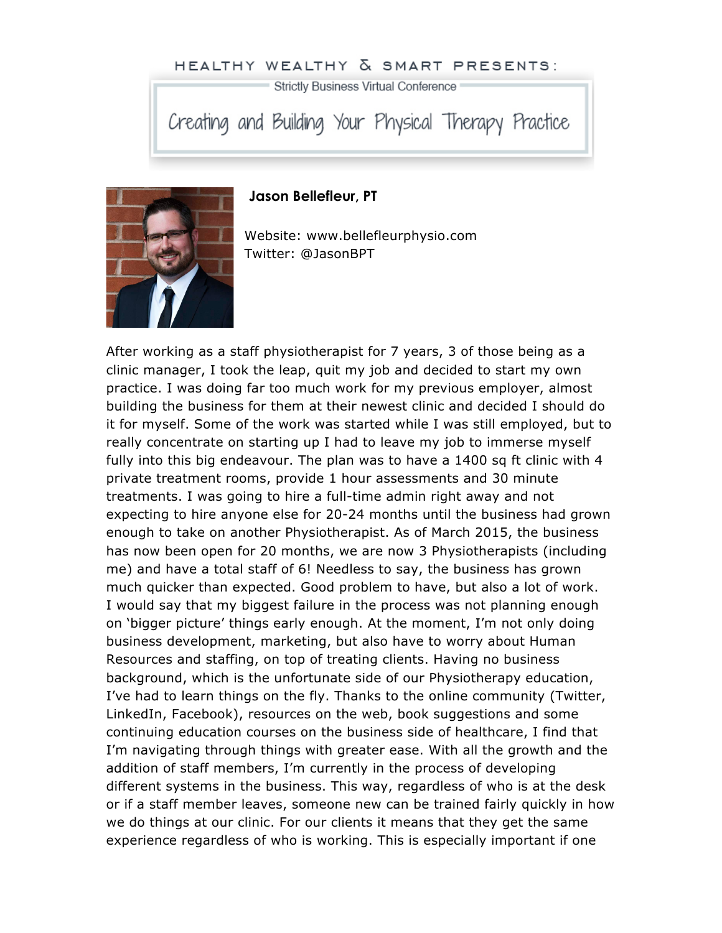## HEALTHY WEALTHY & SMART PRESENTS:

Strictly Business Virtual Conference

Creating and Building Your Physical Therapy Practice



## **Jason Bellefleur, PT**

Website: www.bellefleurphysio.com Twitter: @JasonBPT

After working as a staff physiotherapist for 7 years, 3 of those being as a clinic manager, I took the leap, quit my job and decided to start my own practice. I was doing far too much work for my previous employer, almost building the business for them at their newest clinic and decided I should do it for myself. Some of the work was started while I was still employed, but to really concentrate on starting up I had to leave my job to immerse myself fully into this big endeavour. The plan was to have a 1400 sq ft clinic with 4 private treatment rooms, provide 1 hour assessments and 30 minute treatments. I was going to hire a full-time admin right away and not expecting to hire anyone else for 20-24 months until the business had grown enough to take on another Physiotherapist. As of March 2015, the business has now been open for 20 months, we are now 3 Physiotherapists (including me) and have a total staff of 6! Needless to say, the business has grown much quicker than expected. Good problem to have, but also a lot of work. I would say that my biggest failure in the process was not planning enough on 'bigger picture' things early enough. At the moment, I'm not only doing business development, marketing, but also have to worry about Human Resources and staffing, on top of treating clients. Having no business background, which is the unfortunate side of our Physiotherapy education, I've had to learn things on the fly. Thanks to the online community (Twitter, LinkedIn, Facebook), resources on the web, book suggestions and some continuing education courses on the business side of healthcare, I find that I'm navigating through things with greater ease. With all the growth and the addition of staff members, I'm currently in the process of developing different systems in the business. This way, regardless of who is at the desk or if a staff member leaves, someone new can be trained fairly quickly in how we do things at our clinic. For our clients it means that they get the same experience regardless of who is working. This is especially important if one